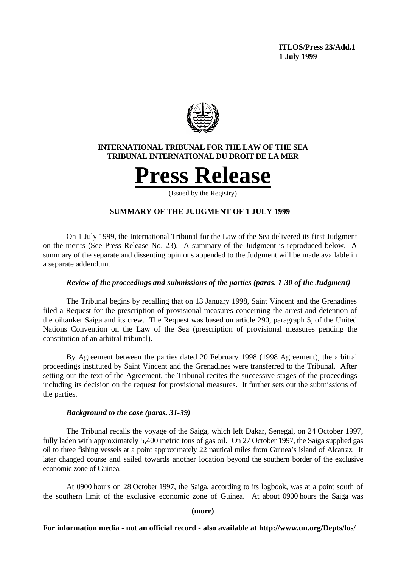**ITLOS/Press 23/Add.1 1 July 1999**



# **INTERNATIONAL TRIBUNAL FOR THE LAW OF THE SEA TRIBUNAL INTERNATIONAL DU DROIT DE LA MER**



(Issued by the Registry)

# **SUMMARY OF THE JUDGMENT OF 1 JULY 1999**

On 1 July 1999, the International Tribunal for the Law of the Sea delivered its first Judgment on the merits (See Press Release No. 23). A summary of the Judgment is reproduced below. A summary of the separate and dissenting opinions appended to the Judgment will be made available in a separate addendum.

### *Review of the proceedings and submissions of the parties (paras. 1-30 of the Judgment)*

The Tribunal begins by recalling that on 13 January 1998, Saint Vincent and the Grenadines filed a Request for the prescription of provisional measures concerning the arrest and detention of the oiltanker Saiga and its crew. The Request was based on article 290, paragraph 5, of the United Nations Convention on the Law of the Sea (prescription of provisional measures pending the constitution of an arbitral tribunal).

By Agreement between the parties dated 20 February 1998 (1998 Agreement), the arbitral proceedings instituted by Saint Vincent and the Grenadines were transferred to the Tribunal. After setting out the text of the Agreement, the Tribunal recites the successive stages of the proceedings including its decision on the request for provisional measures. It further sets out the submissions of the parties.

### *Background to the case (paras. 31-39)*

The Tribunal recalls the voyage of the Saiga, which left Dakar, Senegal, on 24 October 1997, fully laden with approximately 5,400 metric tons of gas oil. On 27 October 1997, the Saiga supplied gas oil to three fishing vessels at a point approximately 22 nautical miles from Guinea's island of Alcatraz. It later changed course and sailed towards another location beyond the southern border of the exclusive economic zone of Guinea.

At 0900 hours on 28 October 1997, the Saiga, according to its logbook, was at a point south of the southern limit of the exclusive economic zone of Guinea.At about 0900 hours the Saiga was

### **(more)**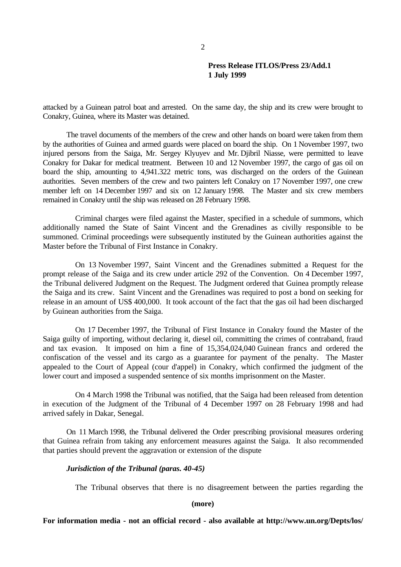attacked by a Guinean patrol boat and arrested. On the same day, the ship and its crew were brought to Conakry, Guinea, where its Master was detained.

The travel documents of the members of the crew and other hands on board were taken from them by the authorities of Guinea and armed guards were placed on board the ship. On 1 November 1997, two injured persons from the Saiga, Mr. Sergey Klyuyev and Mr. Djibril Niasse, were permitted to leave Conakry for Dakar for medical treatment. Between 10 and 12 November 1997, the cargo of gas oil on board the ship, amounting to 4,941.322 metric tons, was discharged on the orders of the Guinean authorities. Seven members of the crew and two painters left Conakry on 17 November 1997, one crew member left on 14 December 1997 and six on 12 January 1998. The Master and six crew members remained in Conakry until the ship was released on 28 February 1998.

Criminal charges were filed against the Master, specified in a schedule of summons, which additionally named the State of Saint Vincent and the Grenadines as civilly responsible to be summoned. Criminal proceedings were subsequently instituted by the Guinean authorities against the Master before the Tribunal of First Instance in Conakry.

On 13 November 1997, Saint Vincent and the Grenadines submitted a Request for the prompt release of the Saiga and its crew under article 292 of the Convention. On 4 December 1997, the Tribunal delivered Judgment on the Request. The Judgment ordered that Guinea promptly release the Saiga and its crew. Saint Vincent and the Grenadines was required to post a bond on seeking for release in an amount of US\$ 400,000. It took account of the fact that the gas oil had been discharged by Guinean authorities from the Saiga.

On 17 December 1997, the Tribunal of First Instance in Conakry found the Master of the Saiga guilty of importing, without declaring it, diesel oil, committing the crimes of contraband, fraud and tax evasion. It imposed on him a fine of 15,354,024,040 Guinean francs and ordered the confiscation of the vessel and its cargo as a guarantee for payment of the penalty. The Master appealed to the Court of Appeal (cour d'appel) in Conakry, which confirmed the judgment of the lower court and imposed a suspended sentence of six months imprisonment on the Master.

On 4 March 1998 the Tribunal was notified, that the Saiga had been released from detention in execution of the Judgment of the Tribunal of 4 December 1997 on 28 February 1998 and had arrived safely in Dakar, Senegal.

On 11 March 1998, the Tribunal delivered the Order prescribing provisional measures ordering that Guinea refrain from taking any enforcement measures against the Saiga. It also recommended that parties should prevent the aggravation or extension of the dispute

#### *Jurisdiction of the Tribunal (paras. 40-45)*

The Tribunal observes that there is no disagreement between the parties regarding the

**(more)**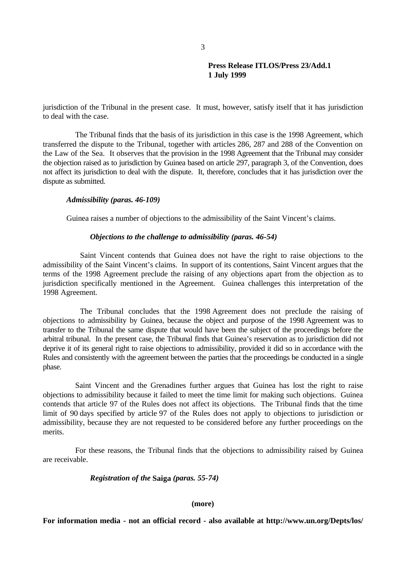jurisdiction of the Tribunal in the present case. It must, however, satisfy itself that it has jurisdiction to deal with the case.

The Tribunal finds that the basis of its jurisdiction in this case is the 1998 Agreement, which transferred the dispute to the Tribunal, together with articles 286, 287 and 288 of the Convention on the Law of the Sea. It observes that the provision in the 1998 Agreement that the Tribunal may consider the objection raised as to jurisdiction by Guinea based on article 297, paragraph 3, of the Convention, does not affect its jurisdiction to deal with the dispute. It, therefore, concludes that it has jurisdiction over the dispute as submitted.

### *Admissibility (paras. 46-109)*

Guinea raises a number of objections to the admissibility of the Saint Vincent's claims.

### *Objections to the challenge to admissibility (paras. 46-54)*

Saint Vincent contends that Guinea does not have the right to raise objections to the admissibility of the Saint Vincent's claims. In support of its contentions, Saint Vincent argues that the terms of the 1998 Agreement preclude the raising of any objections apart from the objection as to jurisdiction specifically mentioned in the Agreement. Guinea challenges this interpretation of the 1998 Agreement.

The Tribunal concludes that the 1998 Agreement does not preclude the raising of objections to admissibility by Guinea, because the object and purpose of the 1998 Agreement was to transfer to the Tribunal the same dispute that would have been the subject of the proceedings before the arbitral tribunal. In the present case, the Tribunal finds that Guinea's reservation as to jurisdiction did not deprive it of its general right to raise objections to admissibility, provided it did so in accordance with the Rules and consistently with the agreement between the parties that the proceedings be conducted in a single phase.

Saint Vincent and the Grenadines further argues that Guinea has lost the right to raise objections to admissibility because it failed to meet the time limit for making such objections. Guinea contends that article 97 of the Rules does not affect its objections. The Tribunal finds that the time limit of 90 days specified by article 97 of the Rules does not apply to objections to jurisdiction or admissibility, because they are not requested to be considered before any further proceedings on the merits.

For these reasons, the Tribunal finds that the objections to admissibility raised by Guinea are receivable.

## *Registration of the* **Saiga** *(paras. 55-74)*

## **(more)**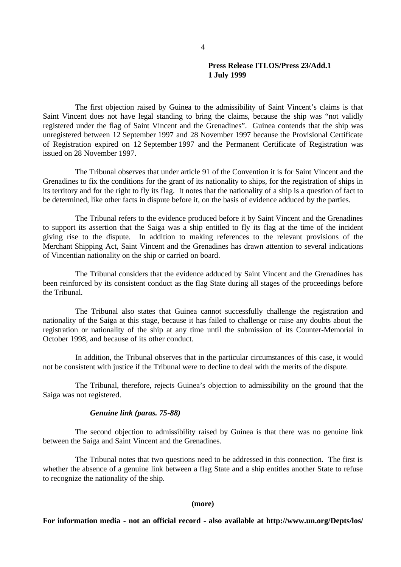The first objection raised by Guinea to the admissibility of Saint Vincent's claims is that Saint Vincent does not have legal standing to bring the claims, because the ship was "not validly registered under the flag of Saint Vincent and the Grenadines". Guinea contends that the ship was unregistered between 12 September 1997 and 28 November 1997 because the Provisional Certificate of Registration expired on 12 September 1997 and the Permanent Certificate of Registration was issued on 28 November 1997.

The Tribunal observes that under article 91 of the Convention it is for Saint Vincent and the Grenadines to fix the conditions for the grant of its nationality to ships, for the registration of ships in its territory and for the right to fly its flag. It notes that the nationality of a ship is a question of fact to be determined, like other facts in dispute before it, on the basis of evidence adduced by the parties.

The Tribunal refers to the evidence produced before it by Saint Vincent and the Grenadines to support its assertion that the Saiga was a ship entitled to fly its flag at the time of the incident giving rise to the dispute. In addition to making references to the relevant provisions of the Merchant Shipping Act, Saint Vincent and the Grenadines has drawn attention to several indications of Vincentian nationality on the ship or carried on board.

The Tribunal considers that the evidence adduced by Saint Vincent and the Grenadines has been reinforced by its consistent conduct as the flag State during all stages of the proceedings before the Tribunal.

The Tribunal also states that Guinea cannot successfully challenge the registration and nationality of the Saiga at this stage, because it has failed to challenge or raise any doubts about the registration or nationality of the ship at any time until the submission of its Counter-Memorial in October 1998, and because of its other conduct.

In addition, the Tribunal observes that in the particular circumstances of this case, it would not be consistent with justice if the Tribunal were to decline to deal with the merits of the dispute.

The Tribunal, therefore, rejects Guinea's objection to admissibility on the ground that the Saiga was not registered.

## *Genuine link (paras. 75-88)*

The second objection to admissibility raised by Guinea is that there was no genuine link between the Saiga and Saint Vincent and the Grenadines.

The Tribunal notes that two questions need to be addressed in this connection. The first is whether the absence of a genuine link between a flag State and a ship entitles another State to refuse to recognize the nationality of the ship.

### **(more)**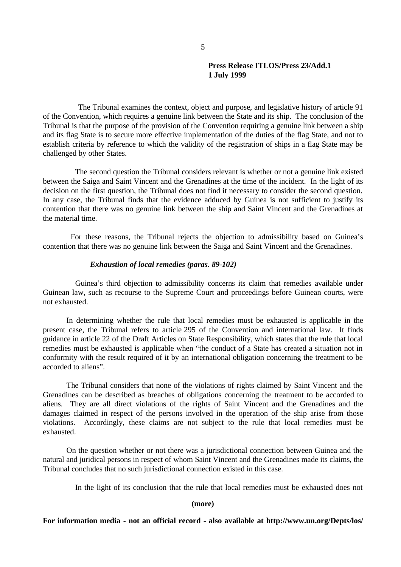The Tribunal examines the context, object and purpose, and legislative history of article 91 of the Convention, which requires a genuine link between the State and its ship. The conclusion of the Tribunal is that the purpose of the provision of the Convention requiring a genuine link between a ship and its flag State is to secure more effective implementation of the duties of the flag State, and not to establish criteria by reference to which the validity of the registration of ships in a flag State may be challenged by other States.

The second question the Tribunal considers relevant is whether or not a genuine link existed between the Saiga and Saint Vincent and the Grenadines at the time of the incident. In the light of its decision on the first question, the Tribunal does not find it necessary to consider the second question. In any case, the Tribunal finds that the evidence adduced by Guinea is not sufficient to justify its contention that there was no genuine link between the ship and Saint Vincent and the Grenadines at the material time.

For these reasons, the Tribunal rejects the objection to admissibility based on Guinea's contention that there was no genuine link between the Saiga and Saint Vincent and the Grenadines.

### *Exhaustion of local remedies (paras. 89-102)*

Guinea's third objection to admissibility concerns its claim that remedies available under Guinean law, such as recourse to the Supreme Court and proceedings before Guinean courts, were not exhausted.

In determining whether the rule that local remedies must be exhausted is applicable in the present case, the Tribunal refers to article 295 of the Convention and international law. It finds guidance in article 22 of the Draft Articles on State Responsibility, which states that the rule that local remedies must be exhausted is applicable when "the conduct of a State has created a situation not in conformity with the result required of it by an international obligation concerning the treatment to be accorded to aliens".

The Tribunal considers that none of the violations of rights claimed by Saint Vincent and the Grenadines can be described as breaches of obligations concerning the treatment to be accorded to aliens. They are all direct violations of the rights of Saint Vincent and the Grenadines and the damages claimed in respect of the persons involved in the operation of the ship arise from those violations. Accordingly, these claims are not subject to the rule that local remedies must be exhausted.

On the question whether or not there was a jurisdictional connection between Guinea and the natural and juridical persons in respect of whom Saint Vincent and the Grenadines made its claims, the Tribunal concludes that no such jurisdictional connection existed in this case.

In the light of its conclusion that the rule that local remedies must be exhausted does not

#### **(more)**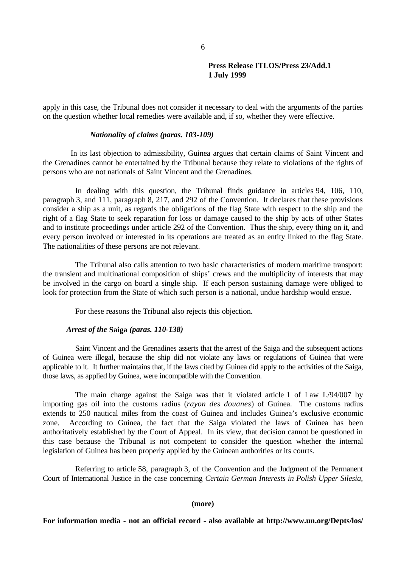apply in this case, the Tribunal does not consider it necessary to deal with the arguments of the parties on the question whether local remedies were available and, if so, whether they were effective.

### *Nationality of claims (paras. 103-109)*

In its last objection to admissibility, Guinea argues that certain claims of Saint Vincent and the Grenadines cannot be entertained by the Tribunal because they relate to violations of the rights of persons who are not nationals of Saint Vincent and the Grenadines.

In dealing with this question, the Tribunal finds guidance in articles 94, 106, 110, paragraph 3, and 111, paragraph 8, 217, and 292 of the Convention. It declares that these provisions consider a ship as a unit, as regards the obligations of the flag State with respect to the ship and the right of a flag State to seek reparation for loss or damage caused to the ship by acts of other States and to institute proceedings under article 292 of the Convention. Thus the ship, every thing on it, and every person involved or interested in its operations are treated as an entity linked to the flag State. The nationalities of these persons are not relevant.

The Tribunal also calls attention to two basic characteristics of modern maritime transport: the transient and multinational composition of ships' crews and the multiplicity of interests that may be involved in the cargo on board a single ship. If each person sustaining damage were obliged to look for protection from the State of which such person is a national, undue hardship would ensue.

For these reasons the Tribunal also rejects this objection.

### *Arrest of the* **Saiga** *(paras. 110-138)*

Saint Vincent and the Grenadines asserts that the arrest of the Saiga and the subsequent actions of Guinea were illegal, because the ship did not violate any laws or regulations of Guinea that were applicable to it. It further maintains that, if the laws cited by Guinea did apply to the activities of the Saiga, those laws, as applied by Guinea, were incompatible with the Convention.

The main charge against the Saiga was that it violated article 1 of Law L/94/007 by importing gas oil into the customs radius (*rayon des douanes*) of Guinea. The customs radius extends to 250 nautical miles from the coast of Guinea and includes Guinea's exclusive economic zone. According to Guinea, the fact that the Saiga violated the laws of Guinea has been authoritatively established by the Court of Appeal. In its view, that decision cannot be questioned in this case because the Tribunal is not competent to consider the question whether the internal legislation of Guinea has been properly applied by the Guinean authorities or its courts.

Referring to article 58, paragraph 3, of the Convention and the Judgment of the Permanent Court of International Justice in the case concerning *Certain German Interests in Polish Upper Silesia*,

#### **(more)**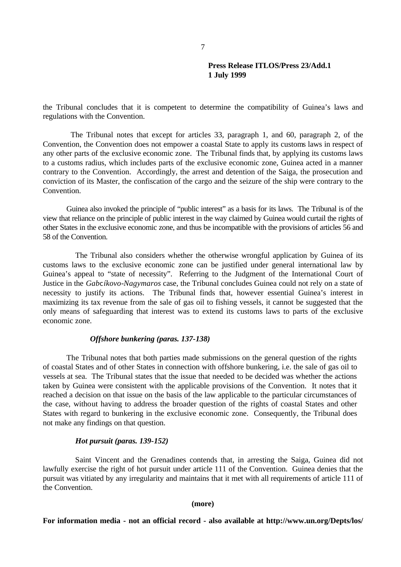the Tribunal concludes that it is competent to determine the compatibility of Guinea's laws and regulations with the Convention.

The Tribunal notes that except for articles 33, paragraph 1, and 60, paragraph 2, of the Convention, the Convention does not empower a coastal State to apply its customs laws in respect of any other parts of the exclusive economic zone. The Tribunal finds that, by applying its customs laws to a customs radius, which includes parts of the exclusive economic zone, Guinea acted in a manner contrary to the Convention. Accordingly, the arrest and detention of the Saiga, the prosecution and conviction of its Master, the confiscation of the cargo and the seizure of the ship were contrary to the Convention.

Guinea also invoked the principle of "public interest" as a basis for its laws. The Tribunal is of the view that reliance on the principle of public interest in the way claimed by Guinea would curtail the rights of other States in the exclusive economic zone, and thus be incompatible with the provisions of articles 56 and 58 of the Convention.

The Tribunal also considers whether the otherwise wrongful application by Guinea of its customs laws to the exclusive economic zone can be justified under general international law by Guinea's appeal to "state of necessity". Referring to the Judgment of the International Court of Justice in the *Gabcíkovo-Nagymaros* case, the Tribunal concludes Guinea could not rely on a state of necessity to justify its actions. The Tribunal finds that, however essential Guinea's interest in maximizing its tax revenue from the sale of gas oil to fishing vessels, it cannot be suggested that the only means of safeguarding that interest was to extend its customs laws to parts of the exclusive economic zone.

### *Offshore bunkering (paras. 137-138)*

The Tribunal notes that both parties made submissions on the general question of the rights of coastal States and of other States in connection with offshore bunkering, i.e. the sale of gas oil to vessels at sea. The Tribunal states that the issue that needed to be decided was whether the actions taken by Guinea were consistent with the applicable provisions of the Convention. It notes that it reached a decision on that issue on the basis of the law applicable to the particular circumstances of the case, without having to address the broader question of the rights of coastal States and other States with regard to bunkering in the exclusive economic zone. Consequently, the Tribunal does not make any findings on that question.

#### *Hot pursuit (paras. 139-152)*

Saint Vincent and the Grenadines contends that, in arresting the Saiga, Guinea did not lawfully exercise the right of hot pursuit under article 111 of the Convention. Guinea denies that the pursuit was vitiated by any irregularity and maintains that it met with all requirements of article 111 of the Convention.

**(more)**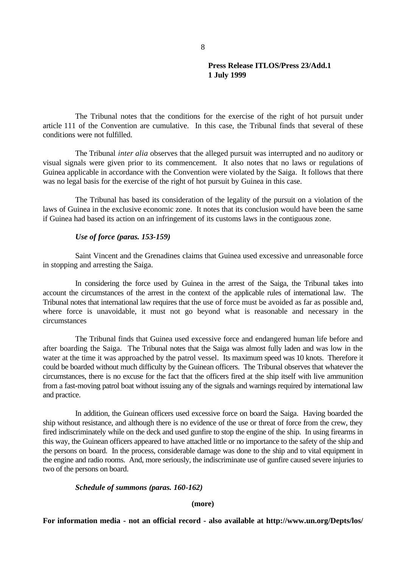The Tribunal notes that the conditions for the exercise of the right of hot pursuit under article 111 of the Convention are cumulative. In this case, the Tribunal finds that several of these conditions were not fulfilled.

The Tribunal *inter alia* observes that the alleged pursuit was interrupted and no auditory or visual signals were given prior to its commencement. It also notes that no laws or regulations of Guinea applicable in accordance with the Convention were violated by the Saiga. It follows that there was no legal basis for the exercise of the right of hot pursuit by Guinea in this case.

The Tribunal has based its consideration of the legality of the pursuit on a violation of the laws of Guinea in the exclusive economic zone. It notes that its conclusion would have been the same if Guinea had based its action on an infringement of its customs laws in the contiguous zone.

### *Use of force (paras. 153-159)*

Saint Vincent and the Grenadines claims that Guinea used excessive and unreasonable force in stopping and arresting the Saiga.

In considering the force used by Guinea in the arrest of the Saiga, the Tribunal takes into account the circumstances of the arrest in the context of the applicable rules of international law. The Tribunal notes that international law requires that the use of force must be avoided as far as possible and, where force is unavoidable, it must not go beyond what is reasonable and necessary in the circumstances

The Tribunal finds that Guinea used excessive force and endangered human life before and after boarding the Saiga. The Tribunal notes that the Saiga was almost fully laden and was low in the water at the time it was approached by the patrol vessel. Its maximum speed was 10 knots. Therefore it could be boarded without much difficulty by the Guinean officers. The Tribunal observes that whatever the circumstances, there is no excuse for the fact that the officers fired at the ship itself with live ammunition from a fast-moving patrol boat without issuing any of the signals and warnings required by international law and practice.

In addition, the Guinean officers used excessive force on board the Saiga. Having boarded the ship without resistance, and although there is no evidence of the use or threat of force from the crew, they fired indiscriminately while on the deck and used gunfire to stop the engine of the ship. In using firearms in this way, the Guinean officers appeared to have attached little or no importance to the safety of the ship and the persons on board. In the process, considerable damage was done to the ship and to vital equipment in the engine and radio rooms. And, more seriously, the indiscriminate use of gunfire caused severe injuries to two of the persons on board.

#### *Schedule of summons (paras. 160-162)*

**(more)**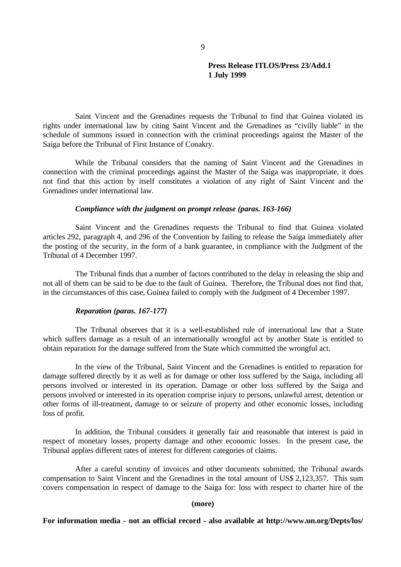Saint Vincent and the Grenadines requests the Tribunal to find that Guinea violated its rights under international law by citing Saint Vincent and the Grenadines as "civilly liable" in the schedule of summons issued in connection with the criminal proceedings against the Master of the Saiga before the Tribunal of First Instance of Conakry.

While the Tribunal considers that the naming of Saint Vincent and the Grenadines in connection with the criminal proceedings against the Master of the Saiga was inappropriate, it does not find that this action by itself constitutes a violation of any right of Saint Vincent and the Grenadines under international law.

### *Compliance with the judgment on prompt release (paras. 163-166)*

Saint Vincent and the Grenadines requests the Tribunal to find that Guinea violated articles 292, paragraph 4, and 296 of the Convention by failing to release the Saiga immediately after the posting of the security, in the form of a bank guarantee, in compliance with the Judgment of the Tribunal of 4 December 1997.

The Tribunal finds that a number of factors contributed to the delay in releasing the ship and not all of them can be said to be due to the fault of Guinea. Therefore, the Tribunal does not find that, in the circumstances of this case, Guinea failed to comply with the Judgment of 4 December 1997.

#### *Reparation (paras. 167-177)*

The Tribunal observes that it is a well-established rule of international law that a State which suffers damage as a result of an internationally wrongful act by another State is entitled to obtain reparation for the damage suffered from the State which committed the wrongful act.

In the view of the Tribunal, Saint Vincent and the Grenadines is entitled to reparation for damage suffered directly by it as well as for damage or other loss suffered by the Saiga, including all persons involved or interested in its operation. Damage or other loss suffered by the Saiga and persons involved or interested in its operation comprise injury to persons, unlawful arrest, detention or other forms of ill-treatment, damage to or seizure of property and other economic losses, including loss of profit.

In addition, the Tribunal considers it generally fair and reasonable that interest is paid in respect of monetary losses, property damage and other economic losses. In the present case, the Tribunal applies different rates of interest for different categories of claims.

After a careful scrutiny of invoices and other documents submitted, the Tribunal awards compensation to Saint Vincent and the Grenadines in the total amount of US\$ 2,123,357. This sum covers compensation in respect of damage to the Saiga for: loss with respect to charter hire of the

#### **(more)**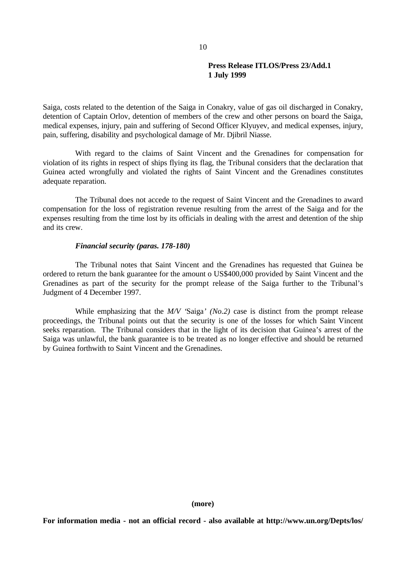Saiga, costs related to the detention of the Saiga in Conakry, value of gas oil discharged in Conakry, detention of Captain Orlov, detention of members of the crew and other persons on board the Saiga, medical expenses, injury, pain and suffering of Second Officer Klyuyev, and medical expenses, injury, pain, suffering, disability and psychological damage of Mr. Djibril Niasse.

With regard to the claims of Saint Vincent and the Grenadines for compensation for violation of its rights in respect of ships flying its flag, the Tribunal considers that the declaration that Guinea acted wrongfully and violated the rights of Saint Vincent and the Grenadines constitutes adequate reparation.

The Tribunal does not accede to the request of Saint Vincent and the Grenadines to award compensation for the loss of registration revenue resulting from the arrest of the Saiga and for the expenses resulting from the time lost by its officials in dealing with the arrest and detention of the ship and its crew.

#### *Financial security (paras. 178-180)*

The Tribunal notes that Saint Vincent and the Grenadines has requested that Guinea be ordered to return the bank guarantee for the amount o US\$400,000 provided by Saint Vincent and the Grenadines as part of the security for the prompt release of the Saiga further to the Tribunal's Judgment of 4 December 1997.

While emphasizing that the *M/V '*Saiga*' (No.2)* case is distinct from the prompt release proceedings, the Tribunal points out that the security is one of the losses for which Saint Vincent seeks reparation. The Tribunal considers that in the light of its decision that Guinea's arrest of the Saiga was unlawful, the bank guarantee is to be treated as no longer effective and should be returned by Guinea forthwith to Saint Vincent and the Grenadines.

**(more)**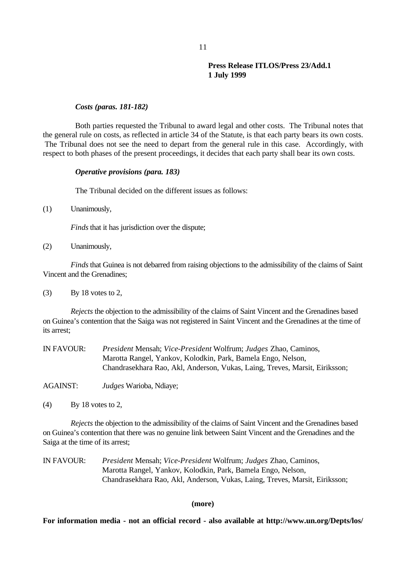### *Costs (paras. 181-182)*

Both parties requested the Tribunal to award legal and other costs. The Tribunal notes that the general rule on costs, as reflected in article 34 of the Statute, is that each party bears its own costs. The Tribunal does not see the need to depart from the general rule in this case. Accordingly, with respect to both phases of the present proceedings, it decides that each party shall bear its own costs.

### *Operative provisions (para. 183)*

The Tribunal decided on the different issues as follows:

(1) Unanimously,

*Finds* that it has jurisdiction over the dispute;

(2) Unanimously,

*Finds* that Guinea is not debarred from raising objections to the admissibility of the claims of Saint Vincent and the Grenadines;

 $\sqrt{(3)}$  By 18 votes to 2,

*Rejects* the objection to the admissibility of the claims of Saint Vincent and the Grenadines based on Guinea's contention that the Saiga was not registered in Saint Vincent and the Grenadines at the time of its arrest;

| IN FAVOUR: | President Mensah; Vice-President Wolfrum; Judges Zhao, Caminos,             |
|------------|-----------------------------------------------------------------------------|
|            | Marotta Rangel, Yankov, Kolodkin, Park, Bamela Engo, Nelson,                |
|            | Chandrasekhara Rao, Akl, Anderson, Vukas, Laing, Treves, Marsit, Eiriksson; |

AGAINST: *Judges* Warioba, Ndiaye;

(4) By 18 votes to 2,

*Rejects* the objection to the admissibility of the claims of Saint Vincent and the Grenadines based on Guinea's contention that there was no genuine link between Saint Vincent and the Grenadines and the Saiga at the time of its arrest;

IN FAVOUR: *President* Mensah; *Vice-President* Wolfrum; *Judges* Zhao, Caminos, Marotta Rangel, Yankov, Kolodkin, Park, Bamela Engo, Nelson, Chandrasekhara Rao, Akl, Anderson, Vukas, Laing, Treves, Marsit, Eiriksson;

### **(more)**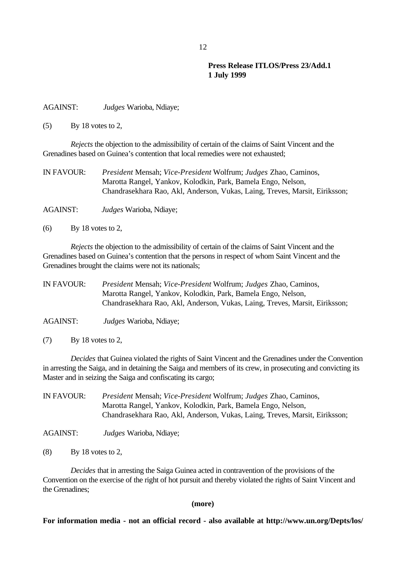AGAINST: *Judges* Warioba, Ndiaye;

 $(5)$  By 18 votes to 2,

*Rejects* the objection to the admissibility of certain of the claims of Saint Vincent and the Grenadines based on Guinea's contention that local remedies were not exhausted;

| IN FAVOUR: | President Mensah; Vice-President Wolfrum; Judges Zhao, Caminos,             |
|------------|-----------------------------------------------------------------------------|
|            | Marotta Rangel, Yankov, Kolodkin, Park, Bamela Engo, Nelson,                |
|            | Chandrasekhara Rao, Akl, Anderson, Vukas, Laing, Treves, Marsit, Eiriksson; |

AGAINST: *Judges* Warioba, Ndiaye;

 $(6)$  By 18 votes to 2,

*Rejects* the objection to the admissibility of certain of the claims of Saint Vincent and the Grenadines based on Guinea's contention that the persons in respect of whom Saint Vincent and the Grenadines brought the claims were not its nationals;

IN FAVOUR: *President* Mensah; *Vice-President* Wolfrum; *Judges* Zhao, Caminos, Marotta Rangel, Yankov, Kolodkin, Park, Bamela Engo, Nelson, Chandrasekhara Rao, Akl, Anderson, Vukas, Laing, Treves, Marsit, Eiriksson;

AGAINST: *Judges* Warioba, Ndiaye;

 $(7)$  By 18 votes to 2,

*Decides* that Guinea violated the rights of Saint Vincent and the Grenadines under the Convention in arresting the Saiga, and in detaining the Saiga and members of its crew, in prosecuting and convicting its Master and in seizing the Saiga and confiscating its cargo;

IN FAVOUR: *President* Mensah; *Vice-President* Wolfrum; *Judges* Zhao, Caminos, Marotta Rangel, Yankov, Kolodkin, Park, Bamela Engo, Nelson, Chandrasekhara Rao, Akl, Anderson, Vukas, Laing, Treves, Marsit, Eiriksson;

AGAINST: *Judges* Warioba, Ndiaye;

 $(8)$  By 18 votes to 2,

*Decides* that in arresting the Saiga Guinea acted in contravention of the provisions of the Convention on the exercise of the right of hot pursuit and thereby violated the rights of Saint Vincent and the Grenadines;

**(more)**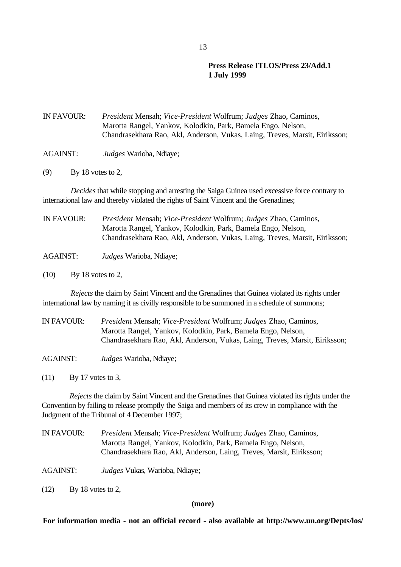IN FAVOUR: *President* Mensah; *Vice-President* Wolfrum; *Judges* Zhao, Caminos, Marotta Rangel, Yankov, Kolodkin, Park, Bamela Engo, Nelson, Chandrasekhara Rao, Akl, Anderson, Vukas, Laing, Treves, Marsit, Eiriksson;

- AGAINST: *Judges* Warioba, Ndiaye;
- (9) By 18 votes to 2,

*Decides* that while stopping and arresting the Saiga Guinea used excessive force contrary to international law and thereby violated the rights of Saint Vincent and the Grenadines;

| IN FAVOUR: | President Mensah; Vice-President Wolfrum; Judges Zhao, Caminos,<br>Marotta Rangel, Yankov, Kolodkin, Park, Bamela Engo, Nelson,<br>Chandrasekhara Rao, Akl, Anderson, Vukas, Laing, Treves, Marsit, Eiriksson; |
|------------|----------------------------------------------------------------------------------------------------------------------------------------------------------------------------------------------------------------|
| AGAINST:   | <i>Judges</i> Warioba, Ndiaye;                                                                                                                                                                                 |

(10) By 18 votes to 2,

*Rejects* the claim by Saint Vincent and the Grenadines that Guinea violated its rights under international law by naming it as civilly responsible to be summoned in a schedule of summons;

IN FAVOUR: *President* Mensah; *Vice-President* Wolfrum; *Judges* Zhao, Caminos, Marotta Rangel, Yankov, Kolodkin, Park, Bamela Engo, Nelson, Chandrasekhara Rao, Akl, Anderson, Vukas, Laing, Treves, Marsit, Eiriksson;

AGAINST: *Judges* Warioba, Ndiaye;

(11) By 17 votes to 3,

*Rejects* the claim by Saint Vincent and the Grenadines that Guinea violated its rights under the Convention by failing to release promptly the Saiga and members of its crew in compliance with the Judgment of the Tribunal of 4 December 1997;

IN FAVOUR: *President* Mensah; *Vice-President* Wolfrum; *Judges* Zhao, Caminos, Marotta Rangel, Yankov, Kolodkin, Park, Bamela Engo, Nelson, Chandrasekhara Rao, Akl, Anderson, Laing, Treves, Marsit, Eiriksson;

AGAINST: *Judges* Vukas, Warioba, Ndiaye;

(12) By 18 votes to 2,

**(more)**